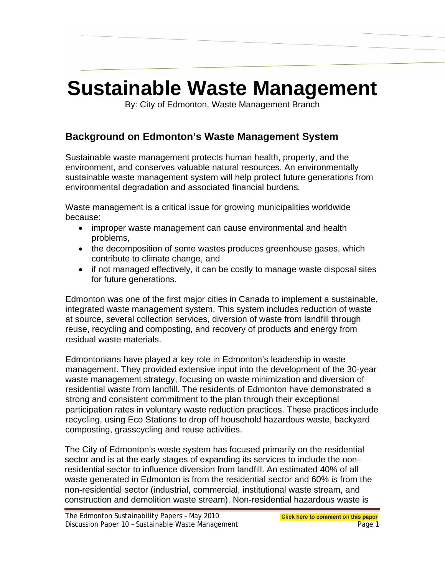# **Sustainable Waste Management**

By: City of Edmonton, Waste Management Branch

# **Background on Edmonton's Waste Management System**

Sustainable waste management protects human health, property, and the environment, and conserves valuable natural resources. An environmentally sustainable waste management system will help protect future generations from environmental degradation and associated financial burdens*.* 

Waste management is a critical issue for growing municipalities worldwide because:

- improper waste management can cause environmental and health problems,
- the decomposition of some wastes produces greenhouse gases, which contribute to climate change, and
- if not managed effectively, it can be costly to manage waste disposal sites for future generations.

Edmonton was one of the first major cities in Canada to implement a sustainable, integrated waste management system. This system includes reduction of waste at source, several collection services, diversion of waste from landfill through reuse, recycling and composting, and recovery of products and energy from residual waste materials.

Edmontonians have played a key role in Edmonton's leadership in waste management. They provided extensive input into the development of the 30-year waste management strategy, focusing on waste minimization and diversion of residential waste from landfill. The residents of Edmonton have demonstrated a strong and consistent commitment to the plan through their exceptional participation rates in voluntary waste reduction practices. These practices include recycling, using Eco Stations to drop off household hazardous waste, backyard composting, grasscycling and reuse activities.

The City of Edmonton's waste system has focused primarily on the residential sector and is at the early stages of expanding its services to include the nonresidential sector to influence diversion from landfill. An estimated 40% of all waste generated in Edmonton is from the residential sector and 60% is from the non-residential sector (industrial, commercial, institutional waste stream, and construction and demolition waste stream). Non-residential hazardous waste is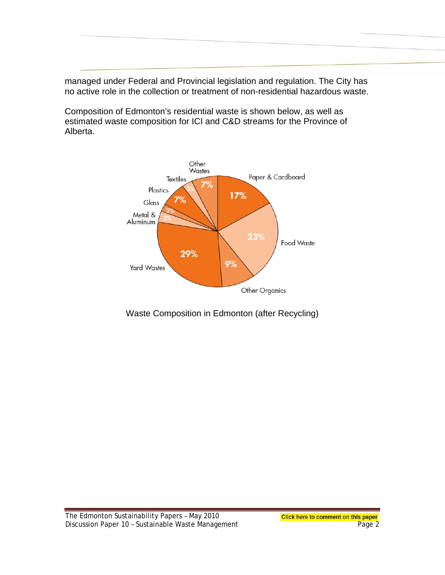managed under Federal and Provincial legislation and regulation. The City has no active role in the collection or treatment of non-residential hazardous waste.

Composition of Edmonton's residential waste is shown below, as well as estimated waste composition for ICI and C&D streams for the Province of Alberta.



## Waste Composition in Edmonton (after Recycling)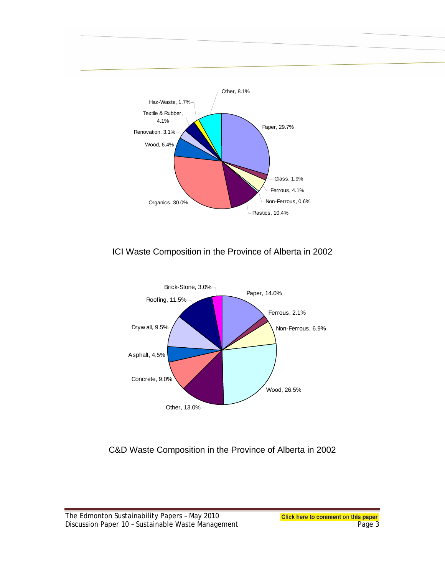

#### ICI Waste Composition in the Province of Alberta in 2002



#### C&D Waste Composition in the Province of Alberta in 2002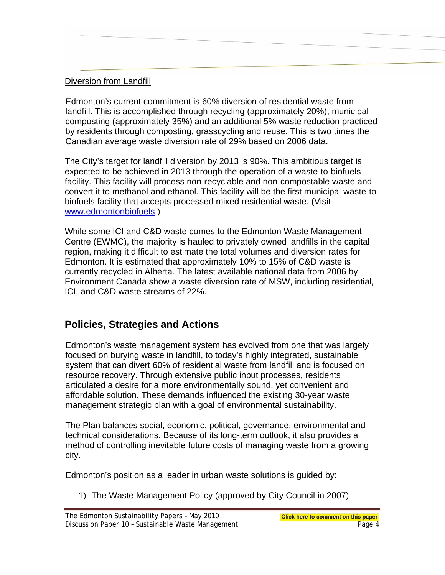#### Diversion from Landfill

Edmonton's current commitment is 60% diversion of residential waste from landfill. This is accomplished through recycling (approximately 20%), municipal composting (approximately 35%) and an additional 5% waste reduction practiced by residents through composting, grasscycling and reuse. This is two times the Canadian average waste diversion rate of 29% based on 2006 data.

The City's target for landfill diversion by 2013 is 90%. This ambitious target is expected to be achieved in 2013 through the operation of a waste-to-biofuels facility. This facility will process non-recyclable and non-compostable waste and convert it to methanol and ethanol. This facility will be the first municipal waste-tobiofuels facility that accepts processed mixed residential waste. (Visit [www.edmontonbiofuels](http://www.edmontonbiofuels/) )

While some ICI and C&D waste comes to the Edmonton Waste Management Centre (EWMC), the majority is hauled to privately owned landfills in the capital region, making it difficult to estimate the total volumes and diversion rates for Edmonton. It is estimated that approximately 10% to 15% of C&D waste is currently recycled in Alberta. The latest available national data from 2006 by Environment Canada show a waste diversion rate of MSW, including residential, ICI, and C&D waste streams of 22%.

## **Policies, Strategies and Actions**

Edmonton's waste management system has evolved from one that was largely focused on burying waste in landfill, to today's highly integrated, sustainable system that can divert 60% of residential waste from landfill and is focused on resource recovery. Through extensive public input processes, residents articulated a desire for a more environmentally sound, yet convenient and affordable solution. These demands influenced the existing 30-year waste management strategic plan with a goal of environmental sustainability.

The Plan balances social, economic, political, governance, environmental and technical considerations. Because of its long-term outlook, it also provides a method of controlling inevitable future costs of managing waste from a growing city.

Edmonton's position as a leader in urban waste solutions is guided by:

1) The Waste Management Policy (approved by City Council in 2007)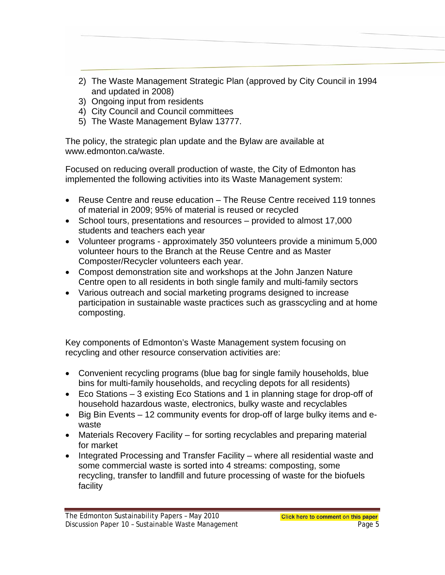- 2) The Waste Management Strategic Plan (approved by City Council in 1994 and updated in 2008)
- 3) Ongoing input from residents
- 4) City Council and Council committees
- 5) The Waste Management Bylaw 13777.

The policy, the strategic plan update and the Bylaw are available at www.edmonton.ca/waste.

Focused on reducing overall production of waste, the City of Edmonton has implemented the following activities into its Waste Management system:

- Reuse Centre and reuse education The Reuse Centre received 119 tonnes of material in 2009; 95% of material is reused or recycled
- School tours, presentations and resources provided to almost 17,000 students and teachers each year
- Volunteer programs approximately 350 volunteers provide a minimum 5,000 volunteer hours to the Branch at the Reuse Centre and as Master Composter/Recycler volunteers each year.
- Compost demonstration site and workshops at the John Janzen Nature Centre open to all residents in both single family and multi-family sectors
- Various outreach and social marketing programs designed to increase participation in sustainable waste practices such as grasscycling and at home composting.

Key components of Edmonton's Waste Management system focusing on recycling and other resource conservation activities are:

- Convenient recycling programs (blue bag for single family households, blue bins for multi-family households, and recycling depots for all residents)
- Eco Stations 3 existing Eco Stations and 1 in planning stage for drop-off of household hazardous waste, electronics, bulky waste and recyclables
- Big Bin Events 12 community events for drop-off of large bulky items and ewaste
- Materials Recovery Facility for sorting recyclables and preparing material for market
- Integrated Processing and Transfer Facility where all residential waste and some commercial waste is sorted into 4 streams: composting, some recycling, transfer to landfill and future processing of waste for the biofuels facility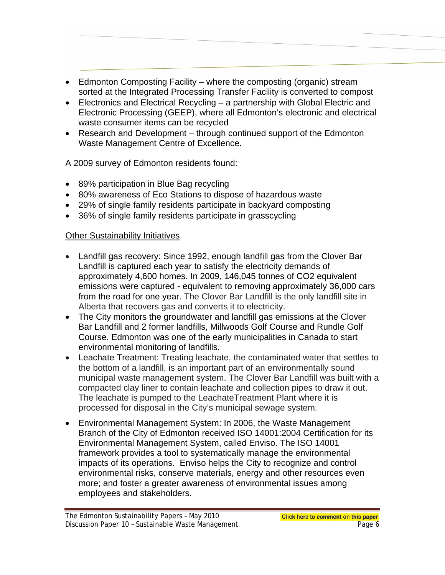- Edmonton Composting Facility where the composting (organic) stream sorted at the Integrated Processing Transfer Facility is converted to compost
- Electronics and Electrical Recycling a partnership with Global Electric and Electronic Processing (GEEP), where all Edmonton's electronic and electrical waste consumer items can be recycled
- Research and Development through continued support of the Edmonton Waste Management Centre of Excellence.

A 2009 survey of Edmonton residents found:

- 89% participation in Blue Bag recycling
- 80% awareness of Eco Stations to dispose of hazardous waste
- 29% of single family residents participate in backyard composting
- 36% of single family residents participate in grasscycling

#### Other Sustainability Initiatives

- Landfill gas recovery: Since 1992, enough landfill gas from the Clover Bar Landfill is captured each year to satisfy the electricity demands of approximately 4,600 homes. In 2009, 146,045 tonnes of CO2 equivalent emissions were captured - equivalent to removing approximately 36,000 cars from the road for one year. The Clover Bar Landfill is the only landfill site in Alberta that recovers gas and converts it to electricity.
- The City monitors the groundwater and landfill gas emissions at the Clover Bar Landfill and 2 former landfills, Millwoods Golf Course and Rundle Golf Course. Edmonton was one of the early municipalities in Canada to start environmental monitoring of landfills.
- Leachate Treatment: Treating leachate, the contaminated water that settles to the bottom of a landfill, is an important part of an environmentally sound municipal waste management system. The Clover Bar Landfill was built with a compacted clay liner to contain leachate and collection pipes to draw it out. The leachate is pumped to the LeachateTreatment Plant where it is processed for disposal in the City's municipal sewage system.
- Environmental Management System: In 2006, the Waste Management Branch of the City of Edmonton received ISO 14001:2004 Certification for its Environmental Management System, called Enviso. The ISO 14001 framework provides a tool to systematically manage the environmental impacts of its operations. Enviso helps the City to recognize and control environmental risks, conserve materials, energy and other resources even more; and foster a greater awareness of environmental issues among employees and stakeholders.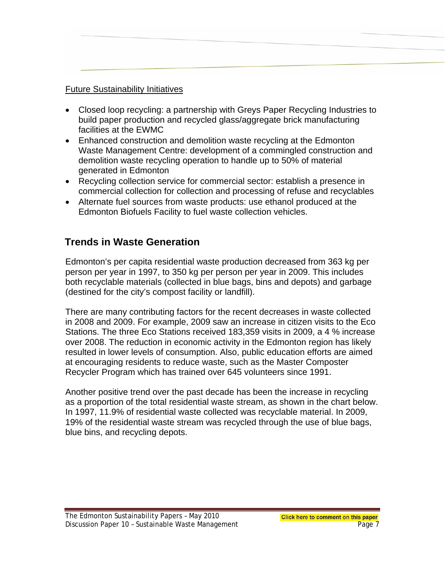#### Future Sustainability Initiatives

- Closed loop recycling: a partnership with Greys Paper Recycling Industries to build paper production and recycled glass/aggregate brick manufacturing facilities at the EWMC
- Enhanced construction and demolition waste recycling at the Edmonton Waste Management Centre: development of a commingled construction and demolition waste recycling operation to handle up to 50% of material generated in Edmonton
- Recycling collection service for commercial sector: establish a presence in commercial collection for collection and processing of refuse and recyclables
- Alternate fuel sources from waste products: use ethanol produced at the Edmonton Biofuels Facility to fuel waste collection vehicles.

## **Trends in Waste Generation**

Edmonton's per capita residential waste production decreased from 363 kg per person per year in 1997, to 350 kg per person per year in 2009. This includes both recyclable materials (collected in blue bags, bins and depots) and garbage (destined for the city's compost facility or landfill).

There are many contributing factors for the recent decreases in waste collected in 2008 and 2009. For example, 2009 saw an increase in citizen visits to the Eco Stations. The three Eco Stations received 183,359 visits in 2009, a 4 % increase over 2008. The reduction in economic activity in the Edmonton region has likely resulted in lower levels of consumption. Also, public education efforts are aimed at encouraging residents to reduce waste, such as the Master Composter Recycler Program which has trained over 645 volunteers since 1991.

Another positive trend over the past decade has been the increase in recycling as a proportion of the total residential waste stream, as shown in the chart below. In 1997, 11.9% of residential waste collected was recyclable material. In 2009, 19% of the residential waste stream was recycled through the use of blue bags, blue bins, and recycling depots.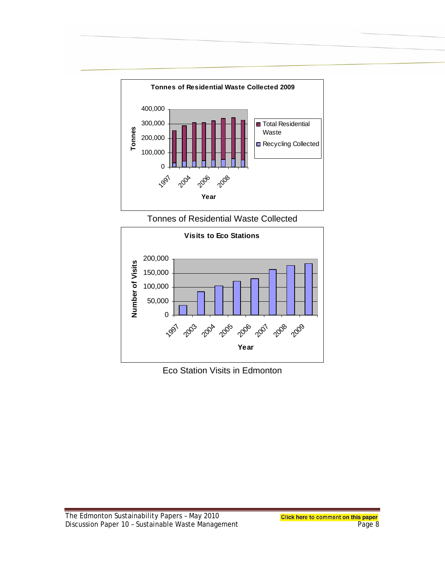

Tonnes of Residential Waste Collected



Eco Station Visits in Edmonton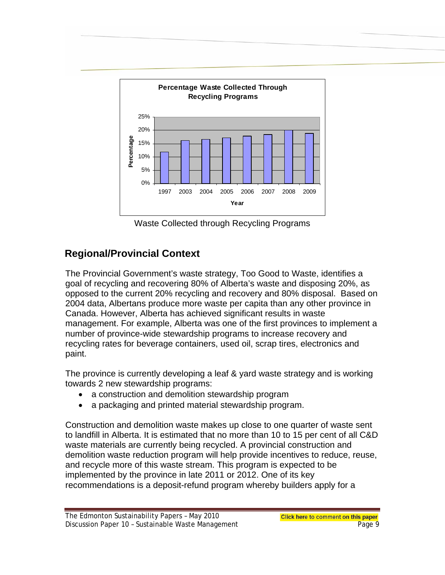

Waste Collected through Recycling Programs

# **Regional/Provincial Context**

The Provincial Government's waste strategy, Too Good to Waste, identifies a goal of recycling and recovering 80% of Alberta's waste and disposing 20%, as opposed to the current 20% recycling and recovery and 80% disposal. Based on 2004 data, Albertans produce more waste per capita than any other province in Canada. However, Alberta has achieved significant results in waste management. For example, Alberta was one of the first provinces to implement a number of province-wide stewardship programs to increase recovery and recycling rates for beverage containers, used oil, scrap tires, electronics and paint.

The province is currently developing a leaf & yard waste strategy and is working towards 2 new stewardship programs:

- a construction and demolition stewardship program
- a packaging and printed material stewardship program.

Construction and demolition waste makes up close to one quarter of waste sent to landfill in Alberta. It is estimated that no more than 10 to 15 per cent of all C&D waste materials are currently being recycled. A provincial construction and demolition waste reduction program will help provide incentives to reduce, reuse, and recycle more of this waste stream. This program is expected to be implemented by the province in late 2011 or 2012. One of its key recommendations is a deposit-refund program whereby builders apply for a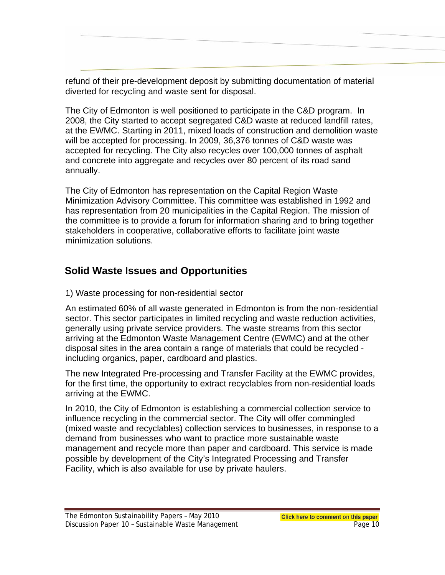refund of their pre-development deposit by submitting documentation of material diverted for recycling and waste sent for disposal.

The City of Edmonton is well positioned to participate in the C&D program. In 2008, the City started to accept segregated C&D waste at reduced landfill rates, at the EWMC. Starting in 2011, mixed loads of construction and demolition waste will be accepted for processing. In 2009, 36,376 tonnes of C&D waste was accepted for recycling. The City also recycles over 100,000 tonnes of asphalt and concrete into aggregate and recycles over 80 percent of its road sand annually.

The City of Edmonton has representation on the Capital Region Waste Minimization Advisory Committee. This committee was established in 1992 and has representation from 20 municipalities in the Capital Region. The mission of the committee is to provide a forum for information sharing and to bring together stakeholders in cooperative, collaborative efforts to facilitate joint waste minimization solutions.

# **Solid Waste Issues and Opportunities**

1 ) Waste processing for non-residential sector

An estimated 60% of all waste generated in Edmonton is from the non-residential sector. This sector participates in limited recycling and waste reduction activities, generally using private service providers. The waste streams from this sector arriving at the Edmonton Waste Management Centre (EWMC) and at the other disposal sites in the area contain a range of materials that could be recycled including organics, paper, cardboard and plastics.

The new Integrated Pre-processing and Transfer Facility at the EWMC provides, for the first time, the opportunity to extract recyclables from non-residential loads arriving at the EWMC. Ì

In 2010, the City of Edmonton is establishing a commercial collection service to influence recycling in the commercial sector. The City will offer commingled (mixed waste and recyclables) collection services to businesses, in response to a demand from businesses who want to practice more sustainable waste management and recycle more than paper and cardboard. This service is made possible by development of the City's Integrated Processing and Transfer Facility, which is also available for use by private haulers.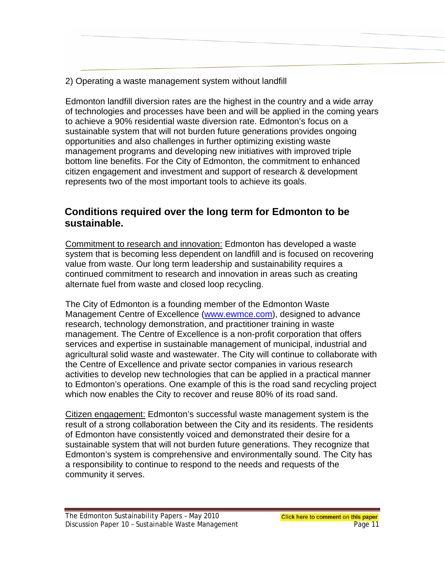2) Operating a waste management system without landfill

Edmonton landfill diversion rates are the highest in the country and a wide array of technologies and processes have been and will be applied in the coming years to achieve a 90% residential waste diversion rate. Edmonton's focus on a sustainable system that will not burden future generations provides ongoing opportunities and also challenges in further optimizing existing waste management programs and developing new initiatives with improved triple bottom line benefits. For the City of Edmonton, the commitment to enhanced citizen engagement and investment and support of research & development represents two of the most important tools to achieve its goals.

### **Conditions required over the long term for Edmonton to be sustainable.**

Commitment to research and innovation: Edmonton has developed a waste system that is becoming less dependent on landfill and is focused on recovering value from waste. Our long term leadership and sustainability requires a continued commitment to research and innovation in areas such as creating alternate fuel from waste and closed loop recycling.

The City of Edmonton is a founding member of the Edmonton Waste Management Centre of Excellence (www.ewmce.com), designed to advance research, technology demonstration, and practitioner training in waste management. The Centre of Excellence is a non-profit corporation that offers services and expertise in sustainable management of municipal, industrial and agricultural solid waste and wastewater. The City will continue to collaborate with the Centre of Excellence and private sector companies in various research activities to develop new technologies that can be applied in a practical manner to Edmonton's operations. One example of this is the road sand recycling project which now enables the City to recover and reuse 80% of its road sand.

Citizen engagement: Edmonton's successful waste management system is the result of a strong collaboration between the City and its residents. The residents of Edmonton have consistently voiced and demonstrated their desire for a sustainable system that will not burden future generations. They recognize that Edmonton's system is comprehensive and environmentally sound. The City has a responsibility to continue to respond to the needs and requests of the community it serves.